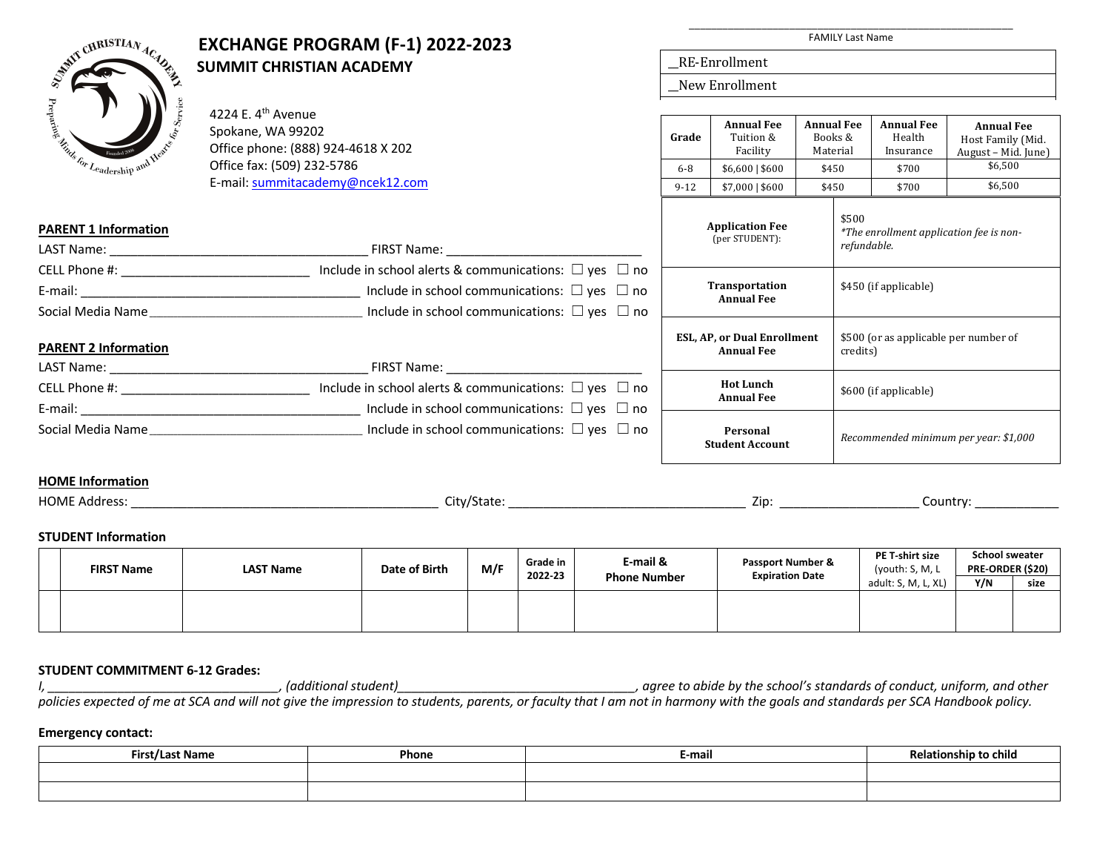

# **EXCHANGE PROGRAM (F-1) 2022-2023**<br>SUMMIT CHRISTIAN ACADEMY **SUMMIT CHRISTIAN ACADEMY**

\_\_\_\_\_\_\_\_\_\_\_\_\_\_\_\_\_\_\_\_\_\_\_\_\_\_\_\_\_\_\_\_\_\_\_\_\_\_\_\_\_\_\_\_\_\_\_\_\_\_\_\_\_\_\_\_\_\_ FAMILY Last Name

\_\_RE-Enrollment

\_\_New Enrollment

| Jeadership and W                                                                                                 | 4224 E. 4 <sup>th</sup> Avenue<br>Spokane, WA 99202<br>Office phone: (888) 924-4618 X 202<br>Office fax: (509) 232-5786                                                                   |                                       | <b>Annual Fee</b><br>Tuition &<br>Grade<br>Facility<br>$$6,600$   \$600<br>$6 - 8$ |                       | <b>Annual Fee</b><br>Books &<br>Material<br>\$450 | <b>Annual Fee</b><br>Health<br>Insurance<br>\$700 | <b>Annual Fee</b><br>Host Family (Mid.<br>August - Mid. June)<br>\$6,500 |
|------------------------------------------------------------------------------------------------------------------|-------------------------------------------------------------------------------------------------------------------------------------------------------------------------------------------|---------------------------------------|------------------------------------------------------------------------------------|-----------------------|---------------------------------------------------|---------------------------------------------------|--------------------------------------------------------------------------|
|                                                                                                                  | E-mail: summitacademy@ncek12.com                                                                                                                                                          | $9 - 12$                              | $$7,000$   \$600                                                                   |                       | \$450                                             | \$700                                             | \$6,500                                                                  |
| <b>PARENT 1 Information</b>                                                                                      |                                                                                                                                                                                           |                                       | <b>Application Fee</b><br>(per STUDENT):                                           |                       | \$500<br>refundable.                              |                                                   | *The enrollment application fee is non-                                  |
| CELL Phone #: _______________________________<br>Social Media Name                                               | Include in school alerts & communications: $\Box$ yes $\Box$ no<br>Include in school communications: $\square$ yes $\square$ no<br>Include in school communications: $\Box$ yes $\Box$ no | Transportation<br><b>Annual Fee</b>   |                                                                                    |                       | \$450 (if applicable)                             |                                                   |                                                                          |
| <b>PARENT 2 Information</b>                                                                                      |                                                                                                                                                                                           |                                       | <b>ESL, AP, or Dual Enrollment</b><br><b>Annual Fee</b>                            |                       | credits)                                          |                                                   | \$500 (or as applicable per number of                                    |
|                                                                                                                  |                                                                                                                                                                                           |                                       |                                                                                    |                       |                                                   |                                                   |                                                                          |
| Include in school alerts & communications: $\Box$ yes $\Box$ no<br>CELL Phone #: _______________________________ |                                                                                                                                                                                           | <b>Hot Lunch</b><br><b>Annual Fee</b> |                                                                                    | \$600 (if applicable) |                                                   |                                                   |                                                                          |
|                                                                                                                  | E-mail: $\Box$ yes $\Box$ no                                                                                                                                                              |                                       |                                                                                    |                       |                                                   |                                                   |                                                                          |
|                                                                                                                  |                                                                                                                                                                                           |                                       | Personal<br><b>Student Account</b>                                                 |                       | Recommended minimum per year: \$1,000             |                                                   |                                                                          |
| <b>HOME</b> Information                                                                                          |                                                                                                                                                                                           |                                       |                                                                                    |                       |                                                   |                                                   |                                                                          |
| <b>HOME Address:</b>                                                                                             | City/State:                                                                                                                                                                               |                                       |                                                                                    |                       |                                                   |                                                   | Country:                                                                 |

# **STUDENT Information**

|  | <b>FIRST Name</b> | <b>LAST Name</b> | Date of Birth | M/F | Grade in<br>2022-23 | E-mail &<br><b>Phone Number</b> | Passport Number &<br><b>Expiration Date</b> | PE T-shirt size<br>(youth: S, M, L) | <b>School sweater</b><br><b>PRE-ORDER (\$20)</b> |      |
|--|-------------------|------------------|---------------|-----|---------------------|---------------------------------|---------------------------------------------|-------------------------------------|--------------------------------------------------|------|
|  |                   |                  |               |     |                     |                                 |                                             | adult: S, M, L, XL)                 | Y/N                                              | size |
|  |                   |                  |               |     |                     |                                 |                                             |                                     |                                                  |      |
|  |                   |                  |               |     |                     |                                 |                                             |                                     |                                                  |      |
|  |                   |                  |               |     |                     |                                 |                                             |                                     |                                                  |      |

# **STUDENT COMMITMENT 6-12 Grades:**

*I, \_\_\_\_\_\_\_\_\_\_\_\_\_\_\_\_\_\_\_\_\_\_\_\_\_\_\_\_\_\_\_\_\_, (additional student)\_\_\_\_\_\_\_\_\_\_\_\_\_\_\_\_\_\_\_\_\_\_\_\_\_\_\_\_\_\_\_\_\_\_, agree to abide by the school's standards of conduct, uniform, and other policies expected of me at SCA and will not give the impression to students, parents, or faculty that I am not in harmony with the goals and standards per SCA Handbook policy.* 

### **Emergency contact:**

| $ \cdot$<br><b>Nomo</b><br><br>rus,<br>nanc | Phone | E-mail | .<br>Relationship to child |
|---------------------------------------------|-------|--------|----------------------------|
|                                             |       |        |                            |
|                                             |       |        |                            |